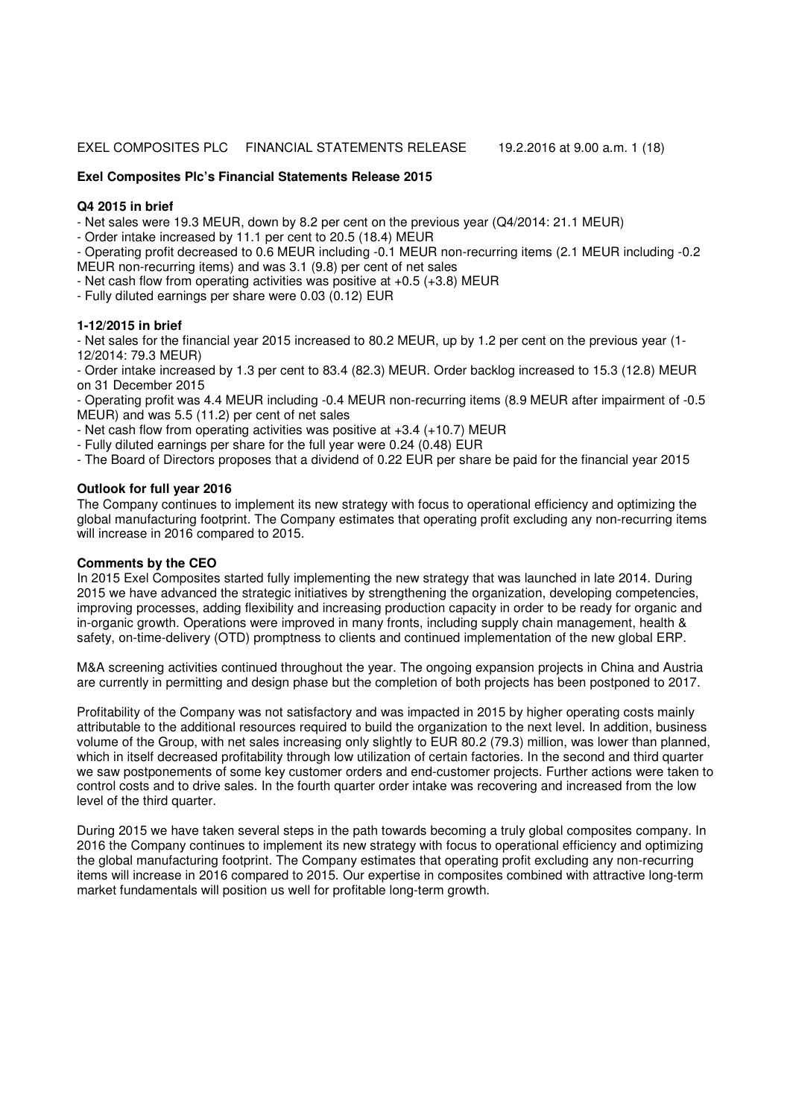## EXEL COMPOSITES PLC FINANCIAL STATEMENTS RELEASE 19.2.2016 at 9.00 a.m. 1 (18)

## **Exel Composites Plc's Financial Statements Release 2015**

## **Q4 2015 in brief**

- Net sales were 19.3 MEUR, down by 8.2 per cent on the previous year (Q4/2014: 21.1 MEUR)

- Order intake increased by 11.1 per cent to 20.5 (18.4) MEUR

- Operating profit decreased to 0.6 MEUR including -0.1 MEUR non-recurring items (2.1 MEUR including -0.2 MEUR non-recurring items) and was 3.1 (9.8) per cent of net sales

- Net cash flow from operating activities was positive at +0.5 (+3.8) MEUR
- Fully diluted earnings per share were 0.03 (0.12) EUR

## **1-12/2015 in brief**

- Net sales for the financial year 2015 increased to 80.2 MEUR, up by 1.2 per cent on the previous year (1- 12/2014: 79.3 MEUR)

- Order intake increased by 1.3 per cent to 83.4 (82.3) MEUR. Order backlog increased to 15.3 (12.8) MEUR on 31 December 2015

- Operating profit was 4.4 MEUR including -0.4 MEUR non-recurring items (8.9 MEUR after impairment of -0.5 MEUR) and was 5.5 (11.2) per cent of net sales

- Net cash flow from operating activities was positive at +3.4 (+10.7) MEUR

- Fully diluted earnings per share for the full year were 0.24 (0.48) EUR
- The Board of Directors proposes that a dividend of 0.22 EUR per share be paid for the financial year 2015

## **Outlook for full year 2016**

The Company continues to implement its new strategy with focus to operational efficiency and optimizing the global manufacturing footprint. The Company estimates that operating profit excluding any non-recurring items will increase in 2016 compared to 2015.

## **Comments by the CEO**

In 2015 Exel Composites started fully implementing the new strategy that was launched in late 2014. During 2015 we have advanced the strategic initiatives by strengthening the organization, developing competencies, improving processes, adding flexibility and increasing production capacity in order to be ready for organic and in-organic growth. Operations were improved in many fronts, including supply chain management, health & safety, on-time-delivery (OTD) promptness to clients and continued implementation of the new global ERP.

M&A screening activities continued throughout the year. The ongoing expansion projects in China and Austria are currently in permitting and design phase but the completion of both projects has been postponed to 2017.

Profitability of the Company was not satisfactory and was impacted in 2015 by higher operating costs mainly attributable to the additional resources required to build the organization to the next level. In addition, business volume of the Group, with net sales increasing only slightly to EUR 80.2 (79.3) million, was lower than planned, which in itself decreased profitability through low utilization of certain factories. In the second and third quarter we saw postponements of some key customer orders and end-customer projects. Further actions were taken to control costs and to drive sales. In the fourth quarter order intake was recovering and increased from the low level of the third quarter.

During 2015 we have taken several steps in the path towards becoming a truly global composites company. In 2016 the Company continues to implement its new strategy with focus to operational efficiency and optimizing the global manufacturing footprint. The Company estimates that operating profit excluding any non-recurring items will increase in 2016 compared to 2015. Our expertise in composites combined with attractive long-term market fundamentals will position us well for profitable long-term growth.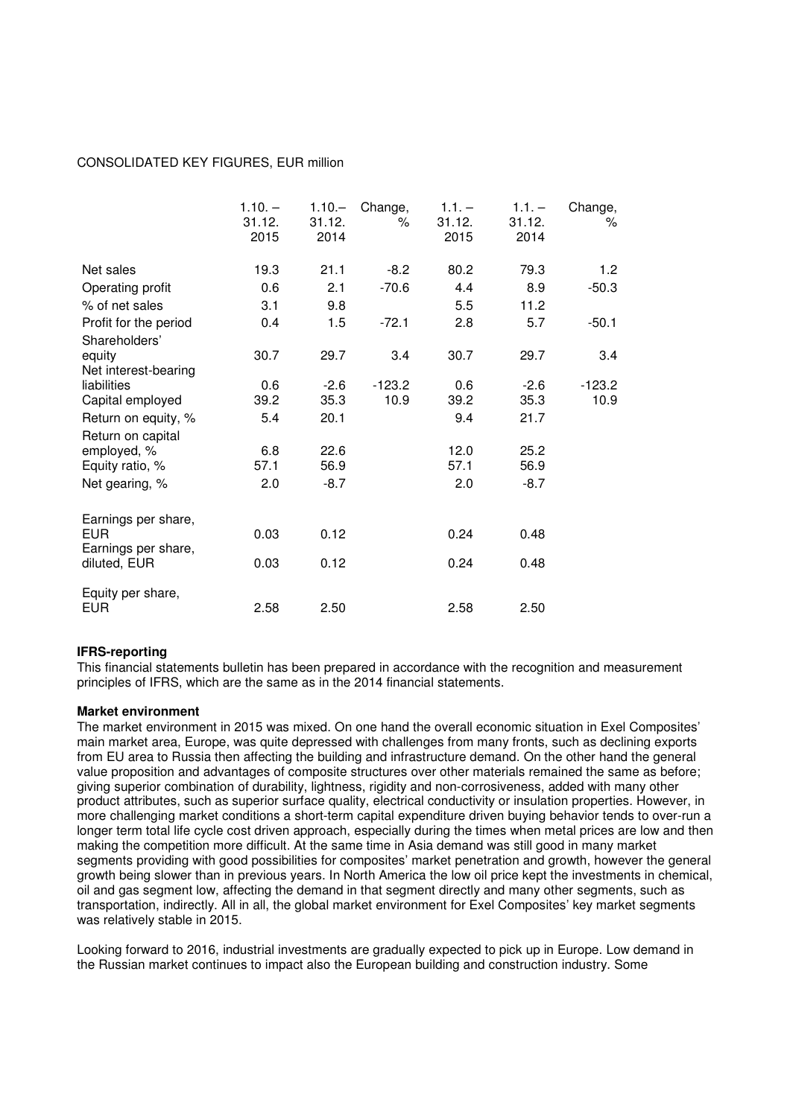## CONSOLIDATED KEY FIGURES, EUR million

|                                                    | $1.10. -$<br>31.12.<br>2015 | $1.10 -$<br>31.12.<br>2014 | Change,<br>℅ | $1.1. -$<br>31.12.<br>2015 | $1.1. -$<br>31.12.<br>2014 | Change,<br>℅ |
|----------------------------------------------------|-----------------------------|----------------------------|--------------|----------------------------|----------------------------|--------------|
| Net sales                                          | 19.3                        | 21.1                       | $-8.2$       | 80.2                       | 79.3                       | 1.2          |
| Operating profit                                   | 0.6                         | 2.1                        | $-70.6$      | 4.4                        | 8.9                        | $-50.3$      |
| % of net sales                                     | 3.1                         | 9.8                        |              | 5.5                        | 11.2                       |              |
| Profit for the period<br>Shareholders'             | 0.4                         | 1.5                        | $-72.1$      | 2.8                        | 5.7                        | $-50.1$      |
| equity<br>Net interest-bearing                     | 30.7                        | 29.7                       | 3.4          | 30.7                       | 29.7                       | 3.4          |
| liabilities                                        | 0.6                         | $-2.6$                     | $-123.2$     | 0.6                        | $-2.6$                     | $-123.2$     |
| Capital employed                                   | 39.2                        | 35.3                       | 10.9         | 39.2                       | 35.3                       | 10.9         |
| Return on equity, %<br>Return on capital           | 5.4                         | 20.1                       |              | 9.4                        | 21.7                       |              |
| employed, %                                        | 6.8                         | 22.6                       |              | 12.0                       | 25.2                       |              |
| Equity ratio, %                                    | 57.1                        | 56.9                       |              | 57.1                       | 56.9                       |              |
| Net gearing, %                                     | 2.0                         | $-8.7$                     |              | 2.0                        | $-8.7$                     |              |
| Earnings per share,<br>EUR.<br>Earnings per share, | 0.03                        | 0.12                       |              | 0.24                       | 0.48                       |              |
| diluted, EUR                                       | 0.03                        | 0.12                       |              | 0.24                       | 0.48                       |              |
| Equity per share,<br><b>EUR</b>                    | 2.58                        | 2.50                       |              | 2.58                       | 2.50                       |              |

## **IFRS-reporting**

This financial statements bulletin has been prepared in accordance with the recognition and measurement principles of IFRS, which are the same as in the 2014 financial statements.

#### **Market environment**

The market environment in 2015 was mixed. On one hand the overall economic situation in Exel Composites' main market area, Europe, was quite depressed with challenges from many fronts, such as declining exports from EU area to Russia then affecting the building and infrastructure demand. On the other hand the general value proposition and advantages of composite structures over other materials remained the same as before; giving superior combination of durability, lightness, rigidity and non-corrosiveness, added with many other product attributes, such as superior surface quality, electrical conductivity or insulation properties. However, in more challenging market conditions a short-term capital expenditure driven buying behavior tends to over-run a longer term total life cycle cost driven approach, especially during the times when metal prices are low and then making the competition more difficult. At the same time in Asia demand was still good in many market segments providing with good possibilities for composites' market penetration and growth, however the general growth being slower than in previous years. In North America the low oil price kept the investments in chemical, oil and gas segment low, affecting the demand in that segment directly and many other segments, such as transportation, indirectly. All in all, the global market environment for Exel Composites' key market segments was relatively stable in 2015.

Looking forward to 2016, industrial investments are gradually expected to pick up in Europe. Low demand in the Russian market continues to impact also the European building and construction industry. Some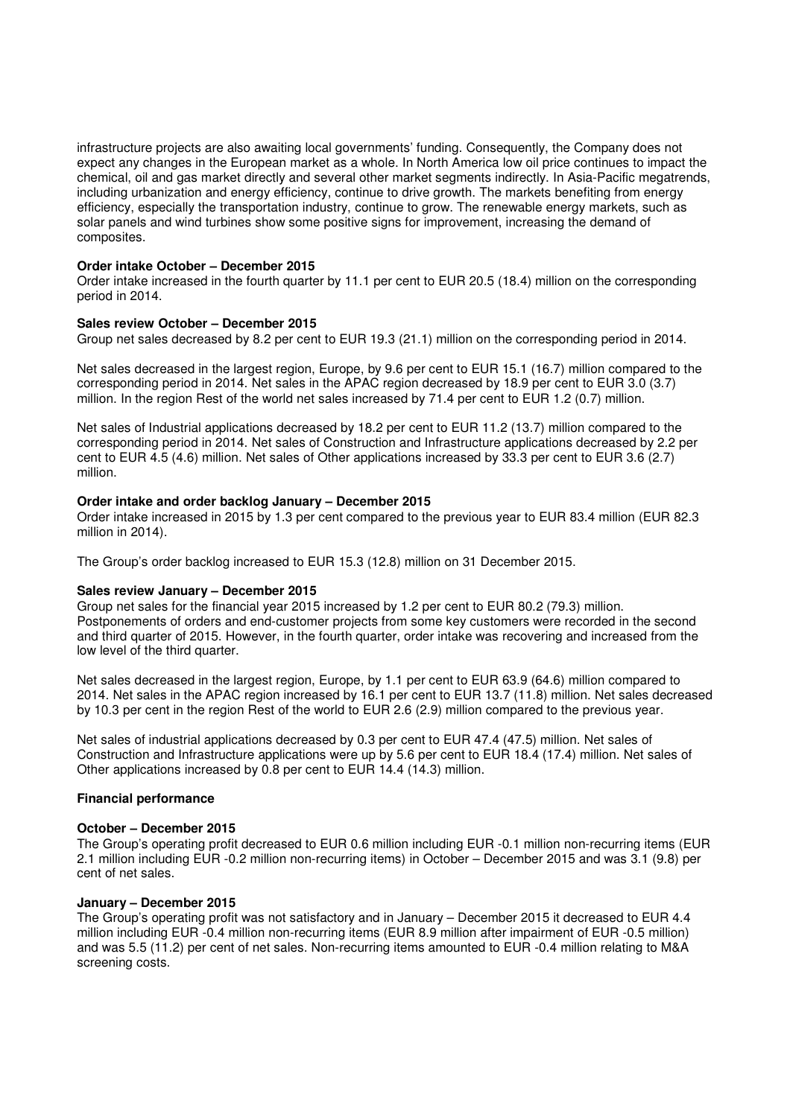infrastructure projects are also awaiting local governments' funding. Consequently, the Company does not expect any changes in the European market as a whole. In North America low oil price continues to impact the chemical, oil and gas market directly and several other market segments indirectly. In Asia-Pacific megatrends, including urbanization and energy efficiency, continue to drive growth. The markets benefiting from energy efficiency, especially the transportation industry, continue to grow. The renewable energy markets, such as solar panels and wind turbines show some positive signs for improvement, increasing the demand of composites.

## **Order intake October – December 2015**

Order intake increased in the fourth quarter by 11.1 per cent to EUR 20.5 (18.4) million on the corresponding period in 2014.

#### **Sales review October – December 2015**

Group net sales decreased by 8.2 per cent to EUR 19.3 (21.1) million on the corresponding period in 2014.

Net sales decreased in the largest region, Europe, by 9.6 per cent to EUR 15.1 (16.7) million compared to the corresponding period in 2014. Net sales in the APAC region decreased by 18.9 per cent to EUR 3.0 (3.7) million. In the region Rest of the world net sales increased by 71.4 per cent to EUR 1.2 (0.7) million.

Net sales of Industrial applications decreased by 18.2 per cent to EUR 11.2 (13.7) million compared to the corresponding period in 2014. Net sales of Construction and Infrastructure applications decreased by 2.2 per cent to EUR 4.5 (4.6) million. Net sales of Other applications increased by 33.3 per cent to EUR 3.6 (2.7) million.

#### **Order intake and order backlog January – December 2015**

Order intake increased in 2015 by 1.3 per cent compared to the previous year to EUR 83.4 million (EUR 82.3 million in 2014).

The Group's order backlog increased to EUR 15.3 (12.8) million on 31 December 2015.

#### **Sales review January – December 2015**

Group net sales for the financial year 2015 increased by 1.2 per cent to EUR 80.2 (79.3) million. Postponements of orders and end-customer projects from some key customers were recorded in the second and third quarter of 2015. However, in the fourth quarter, order intake was recovering and increased from the low level of the third quarter.

Net sales decreased in the largest region, Europe, by 1.1 per cent to EUR 63.9 (64.6) million compared to 2014. Net sales in the APAC region increased by 16.1 per cent to EUR 13.7 (11.8) million. Net sales decreased by 10.3 per cent in the region Rest of the world to EUR 2.6 (2.9) million compared to the previous year.

Net sales of industrial applications decreased by 0.3 per cent to EUR 47.4 (47.5) million. Net sales of Construction and Infrastructure applications were up by 5.6 per cent to EUR 18.4 (17.4) million. Net sales of Other applications increased by 0.8 per cent to EUR 14.4 (14.3) million.

## **Financial performance**

## **October – December 2015**

The Group's operating profit decreased to EUR 0.6 million including EUR -0.1 million non-recurring items (EUR 2.1 million including EUR -0.2 million non-recurring items) in October – December 2015 and was 3.1 (9.8) per cent of net sales.

## **January – December 2015**

The Group's operating profit was not satisfactory and in January – December 2015 it decreased to EUR 4.4 million including EUR -0.4 million non-recurring items (EUR 8.9 million after impairment of EUR -0.5 million) and was 5.5 (11.2) per cent of net sales. Non-recurring items amounted to EUR -0.4 million relating to M&A screening costs.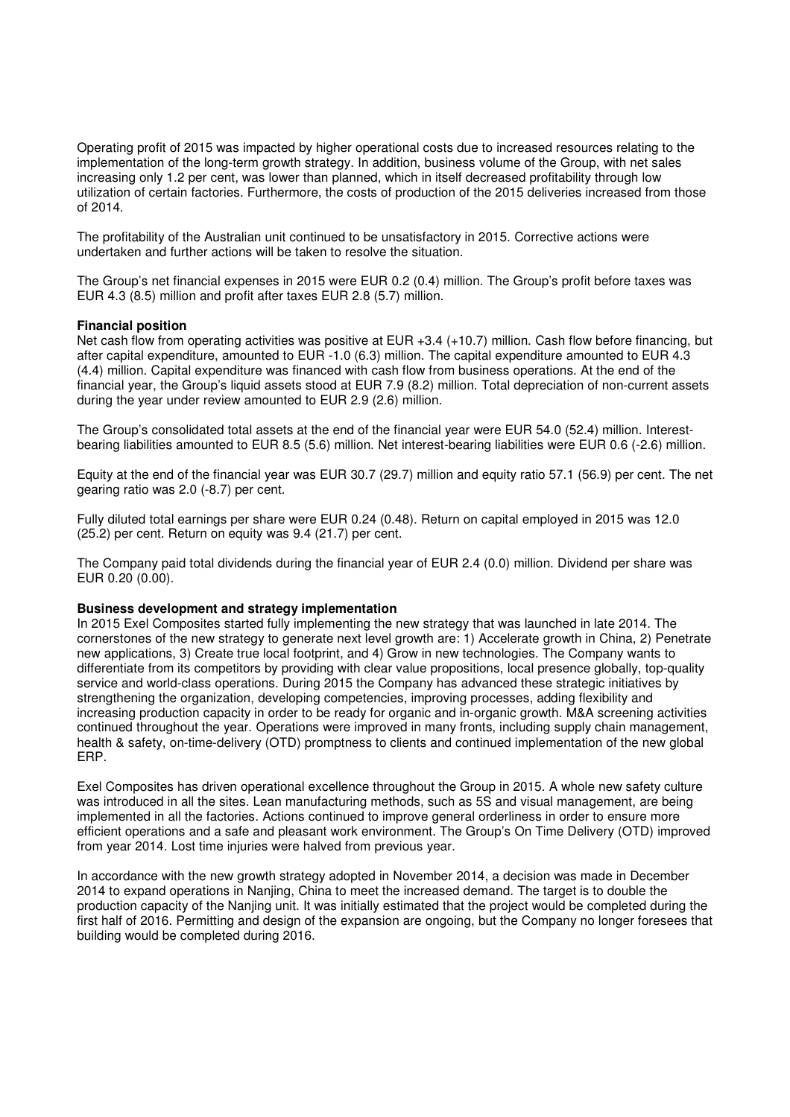Operating profit of 2015 was impacted by higher operational costs due to increased resources relating to the implementation of the long-term growth strategy. In addition, business volume of the Group, with net sales increasing only 1.2 per cent, was lower than planned, which in itself decreased profitability through low utilization of certain factories. Furthermore, the costs of production of the 2015 deliveries increased from those of 2014.

The profitability of the Australian unit continued to be unsatisfactory in 2015. Corrective actions were undertaken and further actions will be taken to resolve the situation.

The Group's net financial expenses in 2015 were EUR 0.2 (0.4) million. The Group's profit before taxes was EUR 4.3 (8.5) million and profit after taxes EUR 2.8 (5.7) million.

#### **Financial position**

Net cash flow from operating activities was positive at EUR +3.4 (+10.7) million. Cash flow before financing, but after capital expenditure, amounted to EUR -1.0 (6.3) million. The capital expenditure amounted to EUR 4.3 (4.4) million. Capital expenditure was financed with cash flow from business operations. At the end of the financial year, the Group's liquid assets stood at EUR 7.9 (8.2) million. Total depreciation of non-current assets during the year under review amounted to EUR 2.9 (2.6) million.

The Group's consolidated total assets at the end of the financial year were EUR 54.0 (52.4) million. Interestbearing liabilities amounted to EUR 8.5 (5.6) million. Net interest-bearing liabilities were EUR 0.6 (-2.6) million.

Equity at the end of the financial year was EUR 30.7 (29.7) million and equity ratio 57.1 (56.9) per cent. The net gearing ratio was 2.0 (-8.7) per cent.

Fully diluted total earnings per share were EUR 0.24 (0.48). Return on capital employed in 2015 was 12.0 (25.2) per cent. Return on equity was 9.4 (21.7) per cent.

The Company paid total dividends during the financial year of EUR 2.4 (0.0) million. Dividend per share was EUR 0.20 (0.00).

#### **Business development and strategy implementation**

In 2015 Exel Composites started fully implementing the new strategy that was launched in late 2014. The cornerstones of the new strategy to generate next level growth are: 1) Accelerate growth in China, 2) Penetrate new applications, 3) Create true local footprint, and 4) Grow in new technologies. The Company wants to differentiate from its competitors by providing with clear value propositions, local presence globally, top-quality service and world-class operations. During 2015 the Company has advanced these strategic initiatives by strengthening the organization, developing competencies, improving processes, adding flexibility and increasing production capacity in order to be ready for organic and in-organic growth. M&A screening activities continued throughout the year. Operations were improved in many fronts, including supply chain management, health & safety, on-time-delivery (OTD) promptness to clients and continued implementation of the new global ERP.

Exel Composites has driven operational excellence throughout the Group in 2015. A whole new safety culture was introduced in all the sites. Lean manufacturing methods, such as 5S and visual management, are being implemented in all the factories. Actions continued to improve general orderliness in order to ensure more efficient operations and a safe and pleasant work environment. The Group's On Time Delivery (OTD) improved from year 2014. Lost time injuries were halved from previous year.

In accordance with the new growth strategy adopted in November 2014, a decision was made in December 2014 to expand operations in Nanjing, China to meet the increased demand. The target is to double the production capacity of the Nanjing unit. It was initially estimated that the project would be completed during the first half of 2016. Permitting and design of the expansion are ongoing, but the Company no longer foresees that building would be completed during 2016.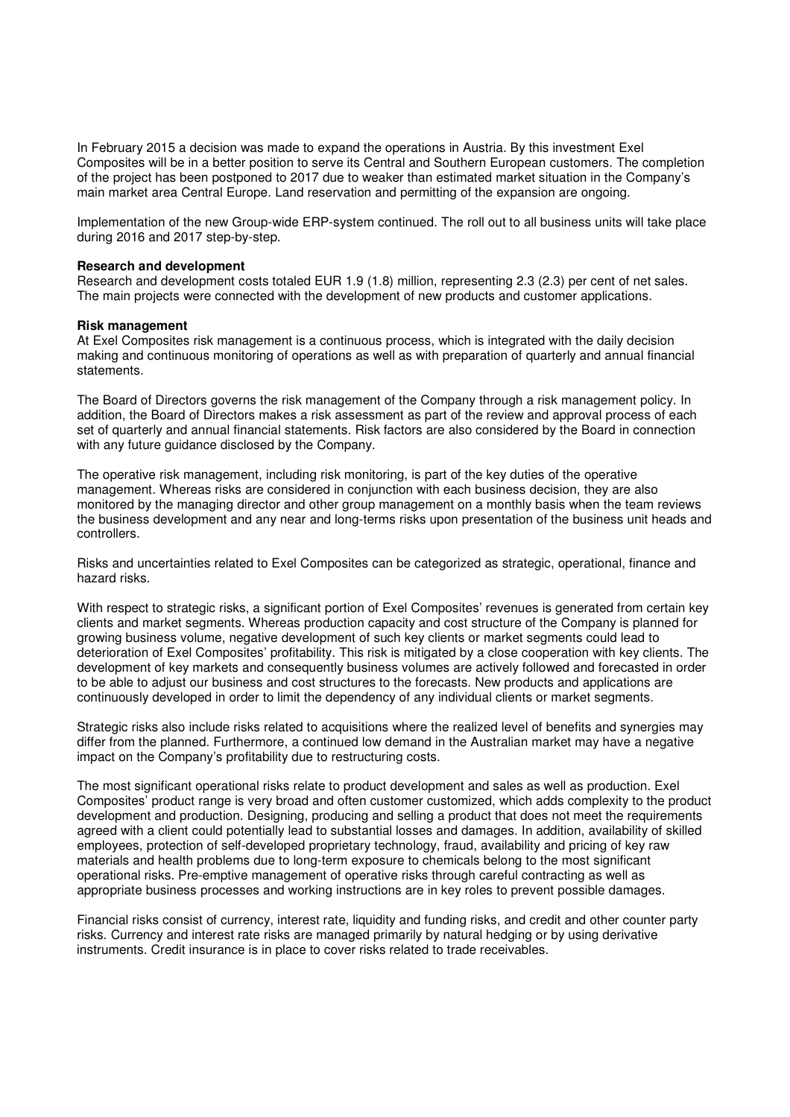In February 2015 a decision was made to expand the operations in Austria. By this investment Exel Composites will be in a better position to serve its Central and Southern European customers. The completion of the project has been postponed to 2017 due to weaker than estimated market situation in the Company's main market area Central Europe. Land reservation and permitting of the expansion are ongoing.

Implementation of the new Group-wide ERP-system continued. The roll out to all business units will take place during 2016 and 2017 step-by-step.

#### **Research and development**

Research and development costs totaled EUR 1.9 (1.8) million, representing 2.3 (2.3) per cent of net sales. The main projects were connected with the development of new products and customer applications.

#### **Risk management**

At Exel Composites risk management is a continuous process, which is integrated with the daily decision making and continuous monitoring of operations as well as with preparation of quarterly and annual financial statements.

The Board of Directors governs the risk management of the Company through a risk management policy. In addition, the Board of Directors makes a risk assessment as part of the review and approval process of each set of quarterly and annual financial statements. Risk factors are also considered by the Board in connection with any future guidance disclosed by the Company.

The operative risk management, including risk monitoring, is part of the key duties of the operative management. Whereas risks are considered in conjunction with each business decision, they are also monitored by the managing director and other group management on a monthly basis when the team reviews the business development and any near and long-terms risks upon presentation of the business unit heads and controllers.

Risks and uncertainties related to Exel Composites can be categorized as strategic, operational, finance and hazard risks.

With respect to strategic risks, a significant portion of Exel Composites' revenues is generated from certain key clients and market segments. Whereas production capacity and cost structure of the Company is planned for growing business volume, negative development of such key clients or market segments could lead to deterioration of Exel Composites' profitability. This risk is mitigated by a close cooperation with key clients. The development of key markets and consequently business volumes are actively followed and forecasted in order to be able to adjust our business and cost structures to the forecasts. New products and applications are continuously developed in order to limit the dependency of any individual clients or market segments.

Strategic risks also include risks related to acquisitions where the realized level of benefits and synergies may differ from the planned. Furthermore, a continued low demand in the Australian market may have a negative impact on the Company's profitability due to restructuring costs.

The most significant operational risks relate to product development and sales as well as production. Exel Composites' product range is very broad and often customer customized, which adds complexity to the product development and production. Designing, producing and selling a product that does not meet the requirements agreed with a client could potentially lead to substantial losses and damages. In addition, availability of skilled employees, protection of self-developed proprietary technology, fraud, availability and pricing of key raw materials and health problems due to long-term exposure to chemicals belong to the most significant operational risks. Pre-emptive management of operative risks through careful contracting as well as appropriate business processes and working instructions are in key roles to prevent possible damages.

Financial risks consist of currency, interest rate, liquidity and funding risks, and credit and other counter party risks. Currency and interest rate risks are managed primarily by natural hedging or by using derivative instruments. Credit insurance is in place to cover risks related to trade receivables.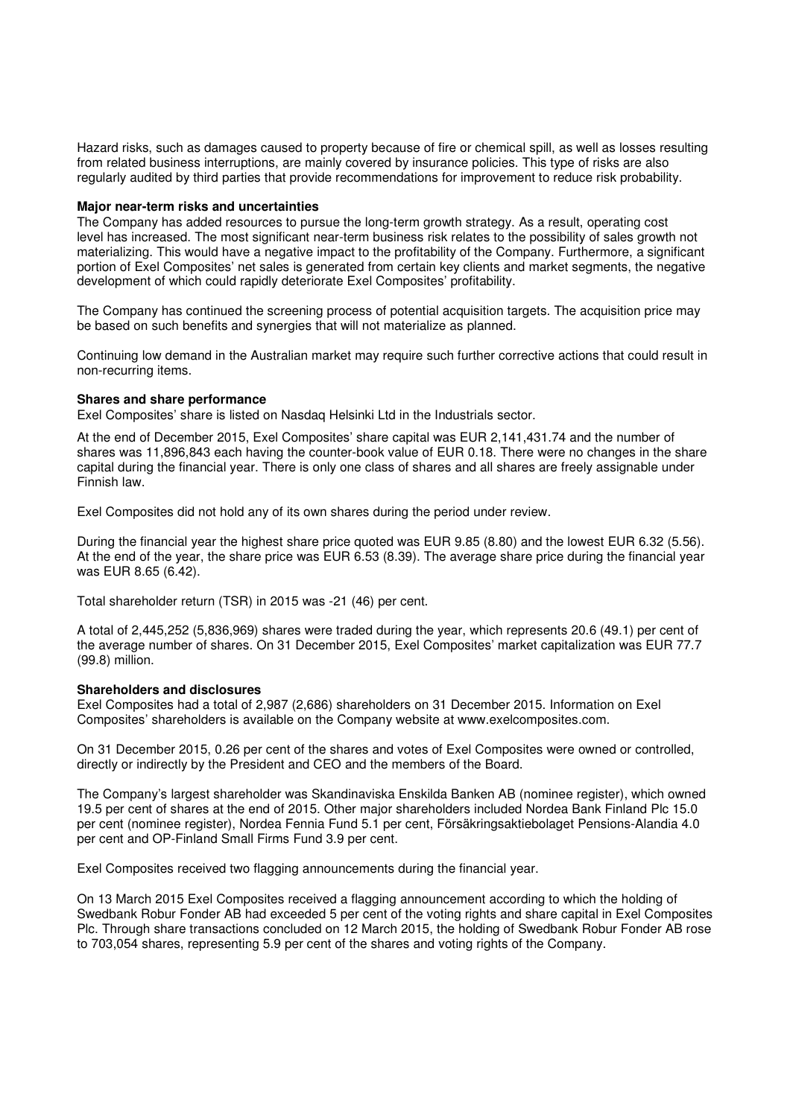Hazard risks, such as damages caused to property because of fire or chemical spill, as well as losses resulting from related business interruptions, are mainly covered by insurance policies. This type of risks are also regularly audited by third parties that provide recommendations for improvement to reduce risk probability.

#### **Major near-term risks and uncertainties**

The Company has added resources to pursue the long-term growth strategy. As a result, operating cost level has increased. The most significant near-term business risk relates to the possibility of sales growth not materializing. This would have a negative impact to the profitability of the Company. Furthermore, a significant portion of Exel Composites' net sales is generated from certain key clients and market segments, the negative development of which could rapidly deteriorate Exel Composites' profitability.

The Company has continued the screening process of potential acquisition targets. The acquisition price may be based on such benefits and synergies that will not materialize as planned.

Continuing low demand in the Australian market may require such further corrective actions that could result in non-recurring items.

#### **Shares and share performance**

Exel Composites' share is listed on Nasdaq Helsinki Ltd in the Industrials sector.

At the end of December 2015, Exel Composites' share capital was EUR 2,141,431.74 and the number of shares was 11,896,843 each having the counter-book value of EUR 0.18. There were no changes in the share capital during the financial year. There is only one class of shares and all shares are freely assignable under Finnish law.

Exel Composites did not hold any of its own shares during the period under review.

During the financial year the highest share price quoted was EUR 9.85 (8.80) and the lowest EUR 6.32 (5.56). At the end of the year, the share price was EUR 6.53 (8.39). The average share price during the financial year was EUR 8.65 (6.42).

Total shareholder return (TSR) in 2015 was -21 (46) per cent.

A total of 2,445,252 (5,836,969) shares were traded during the year, which represents 20.6 (49.1) per cent of the average number of shares. On 31 December 2015, Exel Composites' market capitalization was EUR 77.7 (99.8) million.

## **Shareholders and disclosures**

Exel Composites had a total of 2,987 (2,686) shareholders on 31 December 2015. Information on Exel Composites' shareholders is available on the Company website at www.exelcomposites.com.

On 31 December 2015, 0.26 per cent of the shares and votes of Exel Composites were owned or controlled, directly or indirectly by the President and CEO and the members of the Board.

The Company's largest shareholder was Skandinaviska Enskilda Banken AB (nominee register), which owned 19.5 per cent of shares at the end of 2015. Other major shareholders included Nordea Bank Finland Plc 15.0 per cent (nominee register), Nordea Fennia Fund 5.1 per cent, Försäkringsaktiebolaget Pensions-Alandia 4.0 per cent and OP-Finland Small Firms Fund 3.9 per cent.

Exel Composites received two flagging announcements during the financial year.

On 13 March 2015 Exel Composites received a flagging announcement according to which the holding of Swedbank Robur Fonder AB had exceeded 5 per cent of the voting rights and share capital in Exel Composites Plc. Through share transactions concluded on 12 March 2015, the holding of Swedbank Robur Fonder AB rose to 703,054 shares, representing 5.9 per cent of the shares and voting rights of the Company.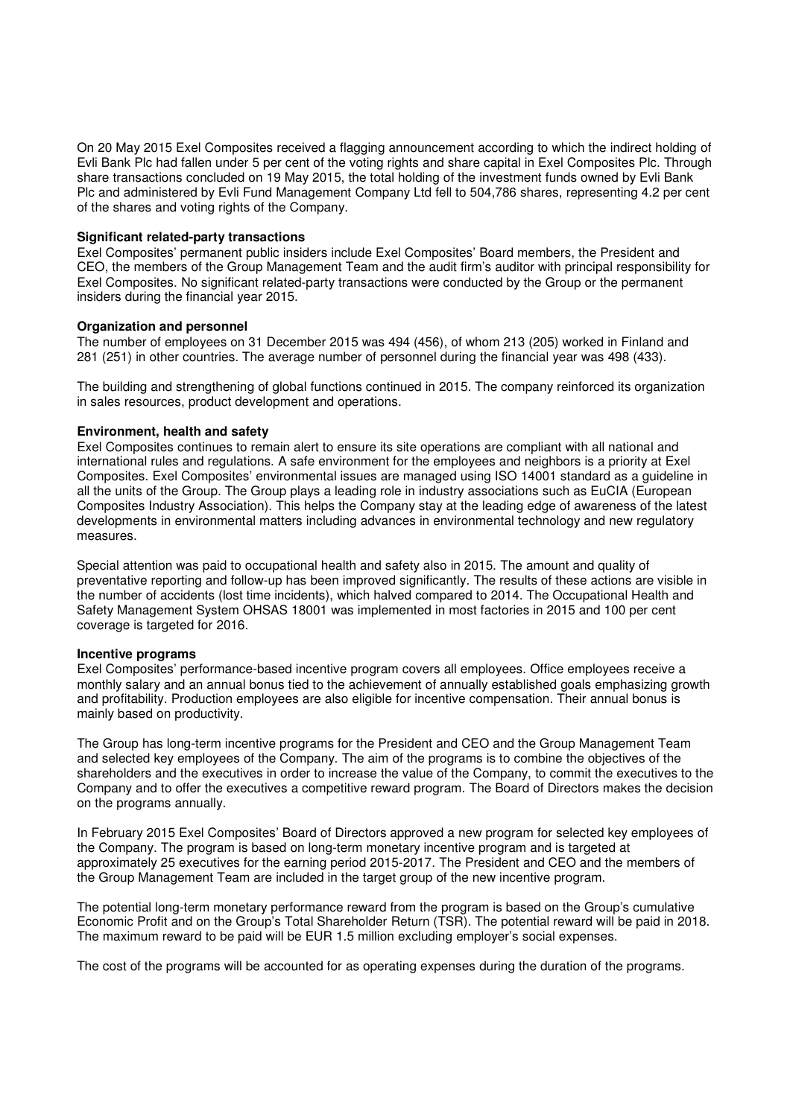On 20 May 2015 Exel Composites received a flagging announcement according to which the indirect holding of Evli Bank Plc had fallen under 5 per cent of the voting rights and share capital in Exel Composites Plc. Through share transactions concluded on 19 May 2015, the total holding of the investment funds owned by Evli Bank Plc and administered by Evli Fund Management Company Ltd fell to 504,786 shares, representing 4.2 per cent of the shares and voting rights of the Company.

## **Significant related-party transactions**

Exel Composites' permanent public insiders include Exel Composites' Board members, the President and CEO, the members of the Group Management Team and the audit firm's auditor with principal responsibility for Exel Composites. No significant related-party transactions were conducted by the Group or the permanent insiders during the financial year 2015.

#### **Organization and personnel**

The number of employees on 31 December 2015 was 494 (456), of whom 213 (205) worked in Finland and 281 (251) in other countries. The average number of personnel during the financial year was 498 (433).

The building and strengthening of global functions continued in 2015. The company reinforced its organization in sales resources, product development and operations.

## **Environment, health and safety**

Exel Composites continues to remain alert to ensure its site operations are compliant with all national and international rules and regulations. A safe environment for the employees and neighbors is a priority at Exel Composites. Exel Composites' environmental issues are managed using ISO 14001 standard as a guideline in all the units of the Group. The Group plays a leading role in industry associations such as EuCIA (European Composites Industry Association). This helps the Company stay at the leading edge of awareness of the latest developments in environmental matters including advances in environmental technology and new regulatory measures.

Special attention was paid to occupational health and safety also in 2015. The amount and quality of preventative reporting and follow-up has been improved significantly. The results of these actions are visible in the number of accidents (lost time incidents), which halved compared to 2014. The Occupational Health and Safety Management System OHSAS 18001 was implemented in most factories in 2015 and 100 per cent coverage is targeted for 2016.

#### **Incentive programs**

Exel Composites' performance-based incentive program covers all employees. Office employees receive a monthly salary and an annual bonus tied to the achievement of annually established goals emphasizing growth and profitability. Production employees are also eligible for incentive compensation. Their annual bonus is mainly based on productivity.

The Group has long-term incentive programs for the President and CEO and the Group Management Team and selected key employees of the Company. The aim of the programs is to combine the objectives of the shareholders and the executives in order to increase the value of the Company, to commit the executives to the Company and to offer the executives a competitive reward program. The Board of Directors makes the decision on the programs annually.

In February 2015 Exel Composites' Board of Directors approved a new program for selected key employees of the Company. The program is based on long-term monetary incentive program and is targeted at approximately 25 executives for the earning period 2015-2017. The President and CEO and the members of the Group Management Team are included in the target group of the new incentive program.

The potential long-term monetary performance reward from the program is based on the Group's cumulative Economic Profit and on the Group's Total Shareholder Return (TSR). The potential reward will be paid in 2018. The maximum reward to be paid will be EUR 1.5 million excluding employer's social expenses.

The cost of the programs will be accounted for as operating expenses during the duration of the programs.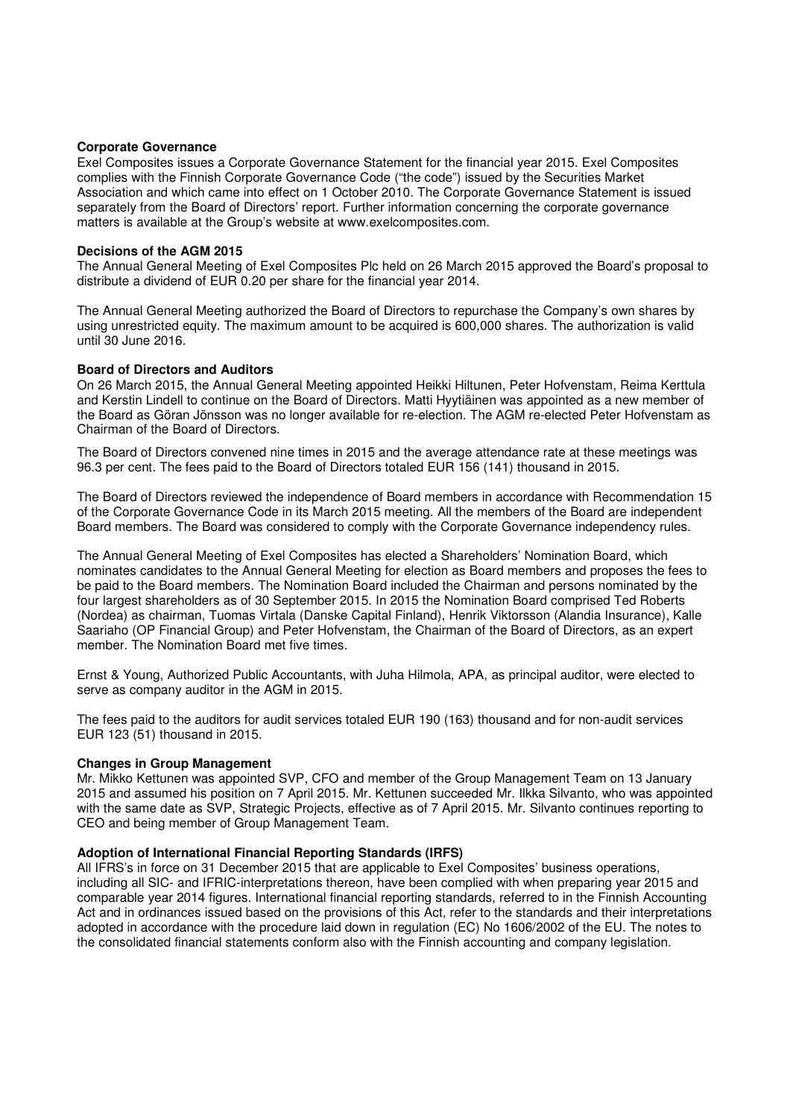#### **Corporate Governance**

Exel Composites issues a Corporate Governance Statement for the financial year 2015. Exel Composites complies with the Finnish Corporate Governance Code ("the code") issued by the Securities Market Association and which came into effect on 1 October 2010. The Corporate Governance Statement is issued separately from the Board of Directors' report. Further information concerning the corporate governance matters is available at the Group's website at www.exelcomposites.com.

#### **Decisions of the AGM 2015**

The Annual General Meeting of Exel Composites Plc held on 26 March 2015 approved the Board's proposal to distribute a dividend of EUR 0.20 per share for the financial year 2014.

The Annual General Meeting authorized the Board of Directors to repurchase the Company's own shares by using unrestricted equity. The maximum amount to be acquired is 600,000 shares. The authorization is valid until 30 June 2016.

## **Board of Directors and Auditors**

On 26 March 2015, the Annual General Meeting appointed Heikki Hiltunen, Peter Hofvenstam, Reima Kerttula and Kerstin Lindell to continue on the Board of Directors. Matti Hyytiäinen was appointed as a new member of the Board as Göran Jönsson was no longer available for re-election. The AGM re-elected Peter Hofvenstam as Chairman of the Board of Directors.

The Board of Directors convened nine times in 2015 and the average attendance rate at these meetings was 96.3 per cent. The fees paid to the Board of Directors totaled EUR 156 (141) thousand in 2015.

The Board of Directors reviewed the independence of Board members in accordance with Recommendation 15 of the Corporate Governance Code in its March 2015 meeting. All the members of the Board are independent Board members. The Board was considered to comply with the Corporate Governance independency rules.

The Annual General Meeting of Exel Composites has elected a Shareholders' Nomination Board, which nominates candidates to the Annual General Meeting for election as Board members and proposes the fees to be paid to the Board members. The Nomination Board included the Chairman and persons nominated by the four largest shareholders as of 30 September 2015. In 2015 the Nomination Board comprised Ted Roberts (Nordea) as chairman, Tuomas Virtala (Danske Capital Finland), Henrik Viktorsson (Alandia Insurance), Kalle Saariaho (OP Financial Group) and Peter Hofvenstam, the Chairman of the Board of Directors, as an expert member. The Nomination Board met five times.

Ernst & Young, Authorized Public Accountants, with Juha Hilmola, APA, as principal auditor, were elected to serve as company auditor in the AGM in 2015.

The fees paid to the auditors for audit services totaled EUR 190 (163) thousand and for non-audit services EUR 123 (51) thousand in 2015.

## **Changes in Group Management**

Mr. Mikko Kettunen was appointed SVP, CFO and member of the Group Management Team on 13 January 2015 and assumed his position on 7 April 2015. Mr. Kettunen succeeded Mr. Ilkka Silvanto, who was appointed with the same date as SVP. Strategic Projects, effective as of 7 April 2015. Mr. Silvanto continues reporting to CEO and being member of Group Management Team.

## **Adoption of International Financial Reporting Standards (IRFS)**

All IFRS's in force on 31 December 2015 that are applicable to Exel Composites' business operations, including all SIC- and IFRIC-interpretations thereon, have been complied with when preparing year 2015 and comparable year 2014 figures. International financial reporting standards, referred to in the Finnish Accounting Act and in ordinances issued based on the provisions of this Act, refer to the standards and their interpretations adopted in accordance with the procedure laid down in regulation (EC) No 1606/2002 of the EU. The notes to the consolidated financial statements conform also with the Finnish accounting and company legislation.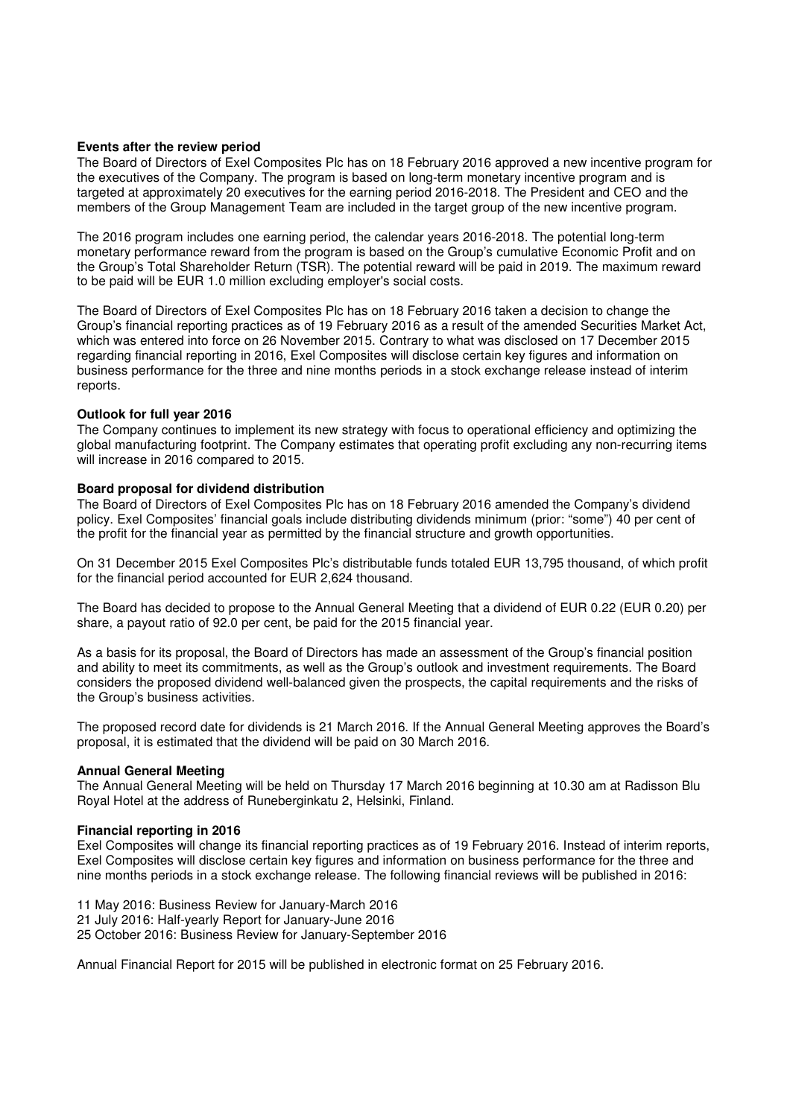## **Events after the review period**

The Board of Directors of Exel Composites Plc has on 18 February 2016 approved a new incentive program for the executives of the Company. The program is based on long-term monetary incentive program and is targeted at approximately 20 executives for the earning period 2016-2018. The President and CEO and the members of the Group Management Team are included in the target group of the new incentive program.

The 2016 program includes one earning period, the calendar years 2016-2018. The potential long-term monetary performance reward from the program is based on the Group's cumulative Economic Profit and on the Group's Total Shareholder Return (TSR). The potential reward will be paid in 2019. The maximum reward to be paid will be EUR 1.0 million excluding employer's social costs.

The Board of Directors of Exel Composites Plc has on 18 February 2016 taken a decision to change the Group's financial reporting practices as of 19 February 2016 as a result of the amended Securities Market Act, which was entered into force on 26 November 2015. Contrary to what was disclosed on 17 December 2015 regarding financial reporting in 2016, Exel Composites will disclose certain key figures and information on business performance for the three and nine months periods in a stock exchange release instead of interim reports.

#### **Outlook for full year 2016**

The Company continues to implement its new strategy with focus to operational efficiency and optimizing the global manufacturing footprint. The Company estimates that operating profit excluding any non-recurring items will increase in 2016 compared to 2015.

## **Board proposal for dividend distribution**

The Board of Directors of Exel Composites Plc has on 18 February 2016 amended the Company's dividend policy. Exel Composites' financial goals include distributing dividends minimum (prior: "some") 40 per cent of the profit for the financial year as permitted by the financial structure and growth opportunities.

On 31 December 2015 Exel Composites Plc's distributable funds totaled EUR 13,795 thousand, of which profit for the financial period accounted for EUR 2,624 thousand.

The Board has decided to propose to the Annual General Meeting that a dividend of EUR 0.22 (EUR 0.20) per share, a payout ratio of 92.0 per cent, be paid for the 2015 financial year.

As a basis for its proposal, the Board of Directors has made an assessment of the Group's financial position and ability to meet its commitments, as well as the Group's outlook and investment requirements. The Board considers the proposed dividend well-balanced given the prospects, the capital requirements and the risks of the Group's business activities.

The proposed record date for dividends is 21 March 2016. If the Annual General Meeting approves the Board's proposal, it is estimated that the dividend will be paid on 30 March 2016.

#### **Annual General Meeting**

The Annual General Meeting will be held on Thursday 17 March 2016 beginning at 10.30 am at Radisson Blu Royal Hotel at the address of Runeberginkatu 2, Helsinki, Finland.

#### **Financial reporting in 2016**

Exel Composites will change its financial reporting practices as of 19 February 2016. Instead of interim reports, Exel Composites will disclose certain key figures and information on business performance for the three and nine months periods in a stock exchange release. The following financial reviews will be published in 2016:

11 May 2016: Business Review for January-March 2016

21 July 2016: Half-yearly Report for January-June 2016

25 October 2016: Business Review for January-September 2016

Annual Financial Report for 2015 will be published in electronic format on 25 February 2016.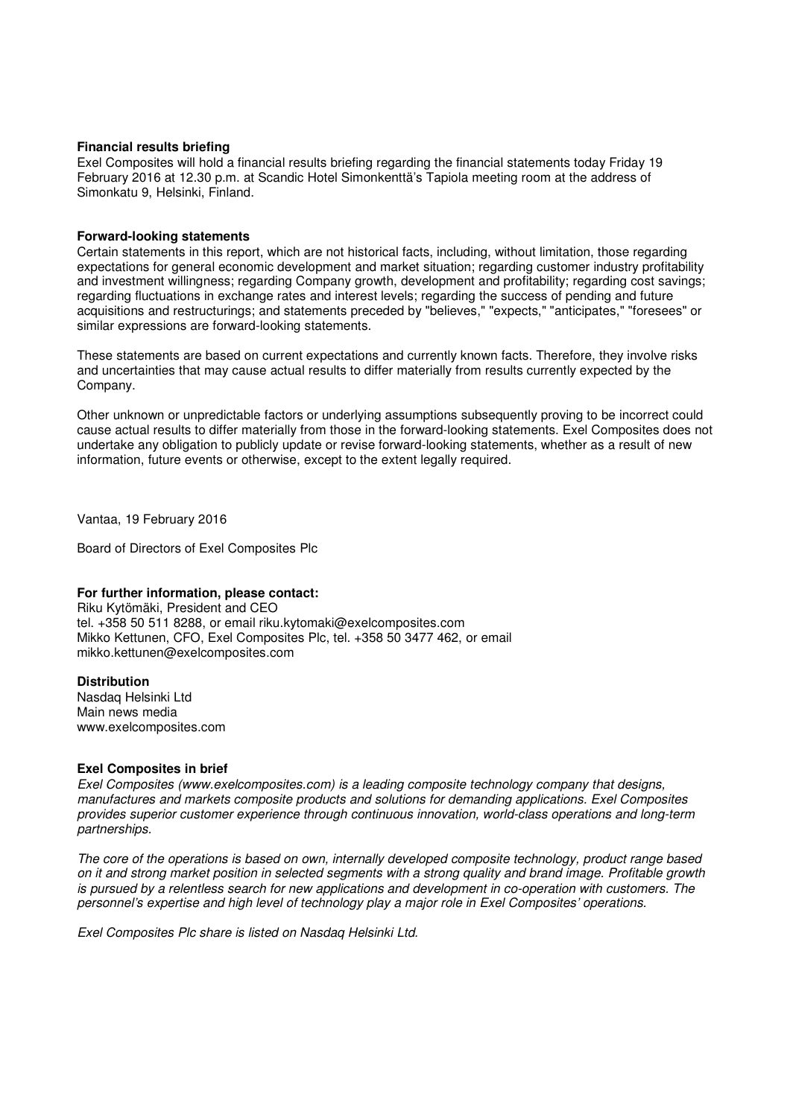#### **Financial results briefing**

Exel Composites will hold a financial results briefing regarding the financial statements today Friday 19 February 2016 at 12.30 p.m. at Scandic Hotel Simonkenttä's Tapiola meeting room at the address of Simonkatu 9, Helsinki, Finland.

## **Forward-looking statements**

Certain statements in this report, which are not historical facts, including, without limitation, those regarding expectations for general economic development and market situation; regarding customer industry profitability and investment willingness; regarding Company growth, development and profitability; regarding cost savings; regarding fluctuations in exchange rates and interest levels; regarding the success of pending and future acquisitions and restructurings; and statements preceded by "believes," "expects," "anticipates," "foresees" or similar expressions are forward-looking statements.

These statements are based on current expectations and currently known facts. Therefore, they involve risks and uncertainties that may cause actual results to differ materially from results currently expected by the Company.

Other unknown or unpredictable factors or underlying assumptions subsequently proving to be incorrect could cause actual results to differ materially from those in the forward-looking statements. Exel Composites does not undertake any obligation to publicly update or revise forward-looking statements, whether as a result of new information, future events or otherwise, except to the extent legally required.

Vantaa, 19 February 2016

Board of Directors of Exel Composites Plc

## **For further information, please contact:**

Riku Kytömäki, President and CEO tel. +358 50 511 8288, or email riku.kytomaki@exelcomposites.com Mikko Kettunen, CFO, Exel Composites Plc, tel. +358 50 3477 462, or email mikko.kettunen@exelcomposites.com

#### **Distribution**

Nasdaq Helsinki Ltd Main news media www.exelcomposites.com

## **Exel Composites in brief**

Exel Composites (www.exelcomposites.com) is a leading composite technology company that designs, manufactures and markets composite products and solutions for demanding applications. Exel Composites provides superior customer experience through continuous innovation, world-class operations and long-term partnerships.

The core of the operations is based on own, internally developed composite technology, product range based on it and strong market position in selected segments with a strong quality and brand image. Profitable growth is pursued by a relentless search for new applications and development in co-operation with customers. The personnel's expertise and high level of technology play a major role in Exel Composites' operations.

Exel Composites Plc share is listed on Nasdaq Helsinki Ltd.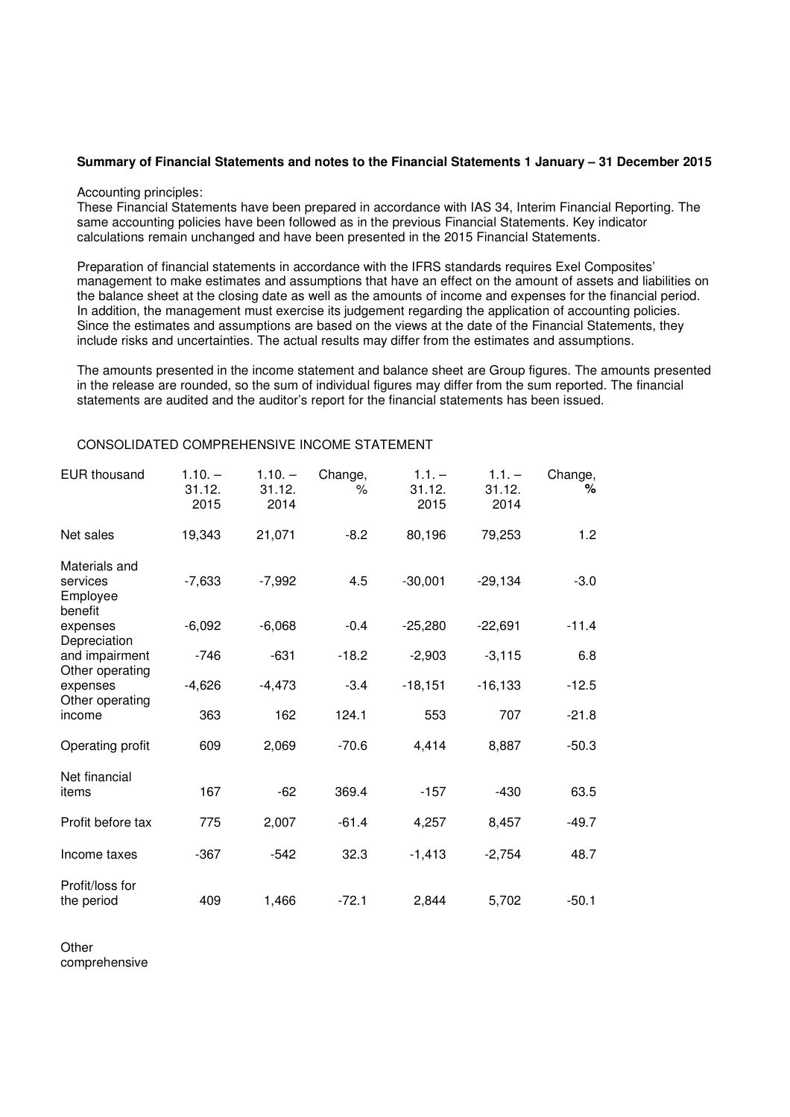#### **Summary of Financial Statements and notes to the Financial Statements 1 January – 31 December 2015**

#### Accounting principles:

These Financial Statements have been prepared in accordance with IAS 34, Interim Financial Reporting. The same accounting policies have been followed as in the previous Financial Statements. Key indicator calculations remain unchanged and have been presented in the 2015 Financial Statements.

Preparation of financial statements in accordance with the IFRS standards requires Exel Composites' management to make estimates and assumptions that have an effect on the amount of assets and liabilities on the balance sheet at the closing date as well as the amounts of income and expenses for the financial period. In addition, the management must exercise its judgement regarding the application of accounting policies. Since the estimates and assumptions are based on the views at the date of the Financial Statements, they include risks and uncertainties. The actual results may differ from the estimates and assumptions.

The amounts presented in the income statement and balance sheet are Group figures. The amounts presented in the release are rounded, so the sum of individual figures may differ from the sum reported. The financial statements are audited and the auditor's report for the financial statements has been issued.

| <b>EUR thousand</b>                               | $1.10. -$<br>31.12.<br>2015 | $1.10. -$<br>31.12.<br>2014 | Change,<br>℅ | $1.1. -$<br>31.12.<br>2015 | $1.1. -$<br>31.12.<br>2014 | Change,<br>% |
|---------------------------------------------------|-----------------------------|-----------------------------|--------------|----------------------------|----------------------------|--------------|
| Net sales                                         | 19,343                      | 21,071                      | $-8.2$       | 80,196                     | 79,253                     | 1.2          |
| Materials and<br>services<br>Employee<br>benefit  | $-7,633$                    | $-7,992$                    | 4.5          | $-30,001$                  | $-29,134$                  | $-3.0$       |
| expenses                                          | $-6,092$                    | $-6,068$                    | $-0.4$       | $-25,280$                  | $-22,691$                  | $-11.4$      |
| Depreciation<br>and impairment<br>Other operating | -746                        | $-631$                      | $-18.2$      | $-2,903$                   | $-3,115$                   | 6.8          |
| expenses                                          | $-4,626$                    | $-4,473$                    | $-3.4$       | $-18,151$                  | $-16, 133$                 | $-12.5$      |
| Other operating<br>income                         | 363                         | 162                         | 124.1        | 553                        | 707                        | $-21.8$      |
| Operating profit                                  | 609                         | 2,069                       | $-70.6$      | 4,414                      | 8,887                      | $-50.3$      |
| Net financial<br>items                            | 167                         | $-62$                       | 369.4        | $-157$                     | $-430$                     | 63.5         |
| Profit before tax                                 | 775                         | 2,007                       | $-61.4$      | 4,257                      | 8,457                      | $-49.7$      |
| Income taxes                                      | $-367$                      | $-542$                      | 32.3         | $-1,413$                   | $-2,754$                   | 48.7         |
| Profit/loss for<br>the period                     | 409                         | 1,466                       | $-72.1$      | 2,844                      | 5,702                      | $-50.1$      |

## CONSOLIDATED COMPREHENSIVE INCOME STATEMENT

**Other** comprehensive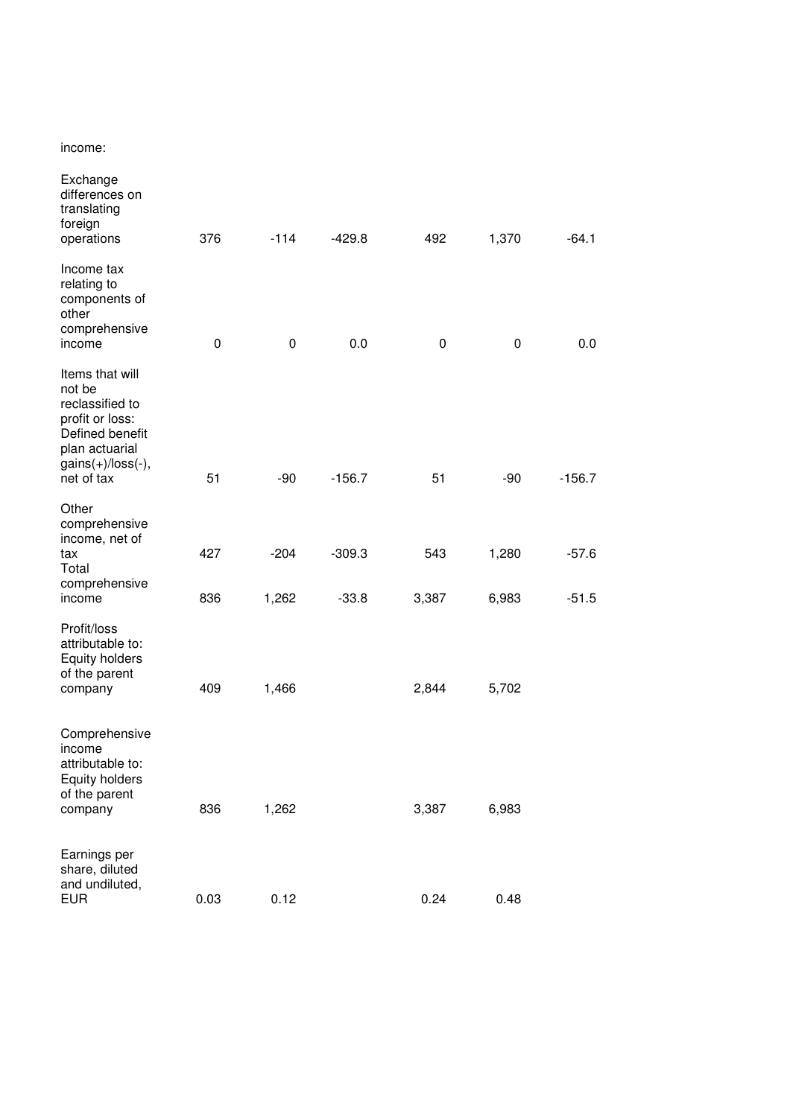income:

| Exchange<br>differences on<br>translating<br>foreign<br>operations                                                                        | 376         | $-114$ | $-429.8$ | 492   | 1,370 | -64.1    |
|-------------------------------------------------------------------------------------------------------------------------------------------|-------------|--------|----------|-------|-------|----------|
| Income tax<br>relating to<br>components of<br>other<br>comprehensive<br>income                                                            | $\mathbf 0$ | 0      | 0.0      | 0     | 0     | 0.0      |
| Items that will<br>not be<br>reclassified to<br>profit or loss:<br>Defined benefit<br>plan actuarial<br>$gains(+)/loss(-),$<br>net of tax | 51          | $-90$  | $-156.7$ | 51    | $-90$ | $-156.7$ |
| Other                                                                                                                                     |             |        |          |       |       |          |
| comprehensive<br>income, net of<br>tax<br>Total<br>comprehensive                                                                          | 427         | $-204$ | $-309.3$ | 543   | 1,280 | $-57.6$  |
| income                                                                                                                                    | 836         | 1,262  | $-33.8$  | 3,387 | 6,983 | $-51.5$  |
| Profit/loss<br>attributable to:<br>Equity holders<br>of the parent<br>company                                                             | 409         | 1,466  |          | 2,844 | 5,702 |          |
| Comprehensive<br>income<br>attributable to:<br><b>Equity holders</b><br>of the parent<br>company                                          | 836         | 1,262  |          | 3,387 | 6,983 |          |
|                                                                                                                                           |             |        |          |       |       |          |
| Earnings per<br>share, diluted<br>and undiluted,<br><b>EUR</b>                                                                            | 0.03        | 0.12   |          | 0.24  | 0.48  |          |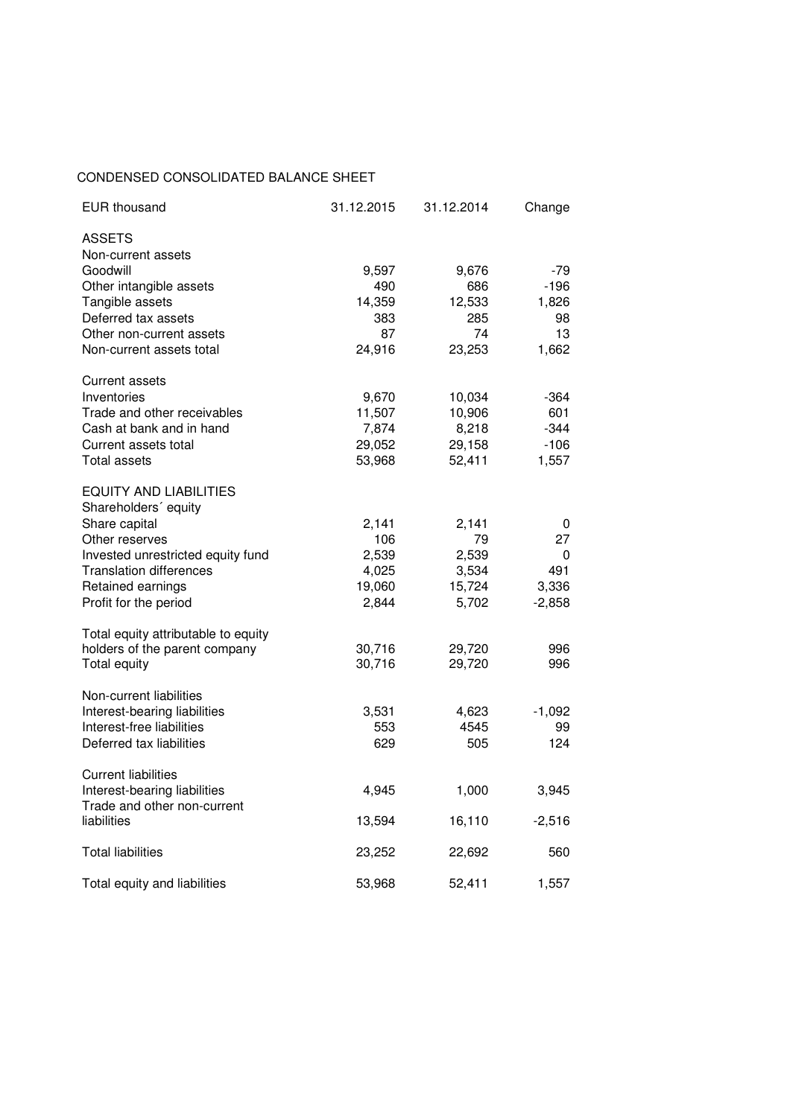## CONDENSED CONSOLIDATED BALANCE SHEET

| <b>EUR thousand</b>                                        | 31.12.2015 | 31.12.2014 | Change   |
|------------------------------------------------------------|------------|------------|----------|
| <b>ASSETS</b>                                              |            |            |          |
| Non-current assets                                         |            |            |          |
| Goodwill                                                   | 9,597      | 9,676      | -79      |
| Other intangible assets                                    | 490        | 686        | -196     |
| Tangible assets                                            | 14,359     | 12,533     | 1,826    |
| Deferred tax assets                                        | 383        | 285        | 98       |
| Other non-current assets                                   | 87         | 74         | 13       |
| Non-current assets total                                   | 24,916     | 23,253     | 1,662    |
| <b>Current assets</b>                                      |            |            |          |
| Inventories                                                | 9,670      | 10,034     | -364     |
| Trade and other receivables                                | 11,507     | 10,906     | 601      |
| Cash at bank and in hand                                   | 7,874      | 8,218      | -344     |
| Current assets total                                       | 29,052     | 29,158     | $-106$   |
| <b>Total assets</b>                                        | 53,968     | 52,411     | 1,557    |
| EQUITY AND LIABILITIES                                     |            |            |          |
| Shareholders' equity                                       |            |            |          |
| Share capital                                              | 2,141      | 2,141      | 0        |
| Other reserves                                             | 106        | 79         | 27       |
| Invested unrestricted equity fund                          | 2,539      | 2,539      | 0        |
| <b>Translation differences</b>                             | 4,025      | 3,534      | 491      |
| Retained earnings                                          | 19,060     | 15,724     | 3,336    |
| Profit for the period                                      | 2,844      | 5,702      | $-2,858$ |
| Total equity attributable to equity                        |            |            |          |
| holders of the parent company                              | 30,716     | 29,720     | 996      |
| Total equity                                               | 30,716     | 29,720     | 996      |
| Non-current liabilities                                    |            |            |          |
| Interest-bearing liabilities                               | 3,531      | 4,623      | $-1,092$ |
| Interest-free liabilities                                  | 553        | 4545       | 99       |
| Deferred tax liabilities                                   | 629        | 505        | 124      |
|                                                            |            |            |          |
| <b>Current liabilities</b><br>Interest-bearing liabilities | 4,945      | 1,000      | 3,945    |
| Trade and other non-current                                |            |            |          |
| liabilities                                                | 13,594     | 16,110     | $-2,516$ |
| <b>Total liabilities</b>                                   | 23,252     | 22,692     | 560      |
|                                                            |            |            |          |
| Total equity and liabilities                               | 53,968     | 52,411     | 1,557    |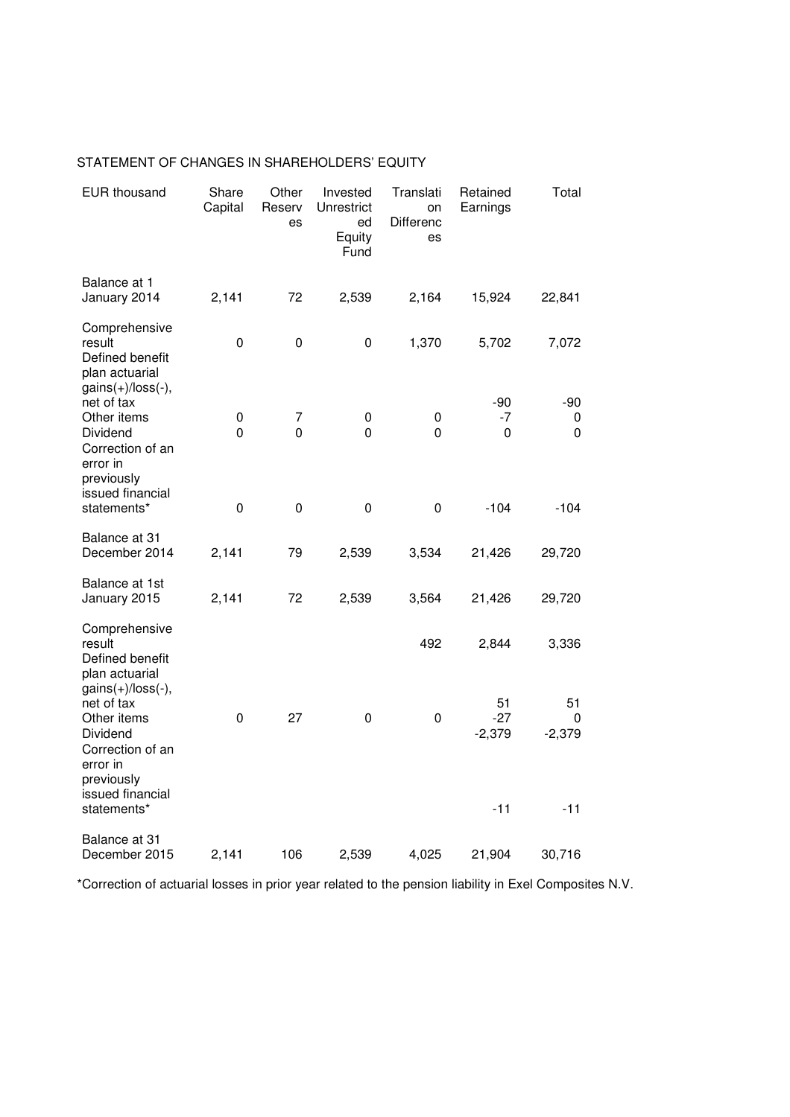| <b>EUR thousand</b>                                                                                                            | Share<br>Capital | Other<br>Reserv<br>es | Invested<br>Unrestrict<br>ed<br>Equity<br>Fund | Translati<br>on<br>Differenc<br>es | Retained<br>Earnings             | Total                        |
|--------------------------------------------------------------------------------------------------------------------------------|------------------|-----------------------|------------------------------------------------|------------------------------------|----------------------------------|------------------------------|
| Balance at 1<br>January 2014                                                                                                   | 2,141            | 72                    | 2,539                                          | 2,164                              | 15,924                           | 22,841                       |
| Comprehensive<br>result<br>Defined benefit<br>plan actuarial<br>$gains(+)/loss(-),$                                            | $\pmb{0}$        | $\pmb{0}$             | 0                                              | 1,370                              | 5,702                            | 7,072                        |
| net of tax<br>Other items<br>Dividend<br>Correction of an<br>error in<br>previously                                            | 0<br>0           | 7<br>0                | 0<br>0                                         | 0<br>$\mathbf{0}$                  | $-90$<br>-7<br>$\mathbf 0$       | -90<br>0<br>0                |
| issued financial<br>statements*                                                                                                | $\mathbf 0$      | $\pmb{0}$             | $\mathbf 0$                                    | $\mathbf 0$                        | $-104$                           | $-104$                       |
| Balance at 31<br>December 2014                                                                                                 | 2,141            | 79                    | 2,539                                          | 3,534                              | 21,426                           | 29,720                       |
| Balance at 1st<br>January 2015                                                                                                 | 2,141            | 72                    | 2,539                                          | 3,564                              | 21,426                           | 29,720                       |
| Comprehensive<br>result<br>Defined benefit<br>plan actuarial                                                                   |                  |                       |                                                | 492                                | 2,844                            | 3,336                        |
| $gains(+)/loss(-),$<br>net of tax<br>Other items<br>Dividend<br>Correction of an<br>error in<br>previously<br>issued financial | 0                | 27                    | 0                                              | 0                                  | 51<br>$-27$<br>$-2,379$<br>$-11$ | 51<br>0<br>$-2,379$<br>$-11$ |
| statements*<br>Balance at 31<br>December 2015                                                                                  | 2,141            | 106                   | 2,539                                          | 4,025                              | 21,904                           | 30,716                       |

# STATEMENT OF CHANGES IN SHAREHOLDERS' EQUITY

\*Correction of actuarial losses in prior year related to the pension liability in Exel Composites N.V.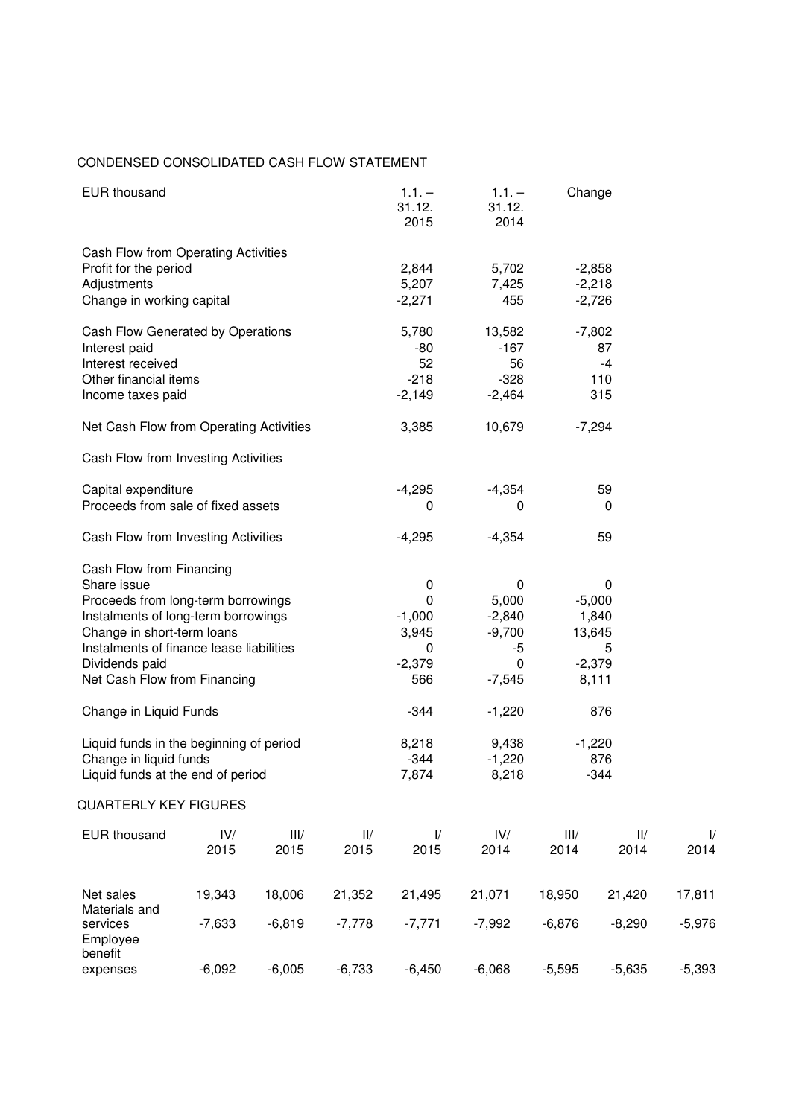## CONDENSED CONSOLIDATED CASH FLOW STATEMENT

| <b>EUR thousand</b>                                                                                                                                                                                                                              |                                            |                                              |             | $1.1. -$<br>31.12.<br>2015                          | $1.1. -$<br>31.12.<br>2014                                          | Change       |                                                            |                    |
|--------------------------------------------------------------------------------------------------------------------------------------------------------------------------------------------------------------------------------------------------|--------------------------------------------|----------------------------------------------|-------------|-----------------------------------------------------|---------------------------------------------------------------------|--------------|------------------------------------------------------------|--------------------|
| Cash Flow from Operating Activities<br>Profit for the period<br>Adjustments<br>Change in working capital                                                                                                                                         | 2,844<br>5,207<br>$-2,271$                 | 5,702<br>7,425<br>455                        |             | $-2,858$<br>$-2,218$<br>$-2,726$                    |                                                                     |              |                                                            |                    |
| Cash Flow Generated by Operations<br>Interest paid<br>Interest received<br>Other financial items<br>Income taxes paid                                                                                                                            | 5,780<br>$-80$<br>52<br>$-218$<br>$-2,149$ | 13,582<br>$-167$<br>56<br>$-328$<br>$-2,464$ |             | $-7,802$<br>87<br>$-4$<br>110<br>315                |                                                                     |              |                                                            |                    |
| Net Cash Flow from Operating Activities                                                                                                                                                                                                          |                                            |                                              |             | 3,385                                               | 10,679                                                              |              | $-7,294$                                                   |                    |
| Cash Flow from Investing Activities                                                                                                                                                                                                              |                                            |                                              |             |                                                     |                                                                     |              |                                                            |                    |
| Capital expenditure<br>Proceeds from sale of fixed assets                                                                                                                                                                                        | $-4,295$<br>0                              | $-4,354$<br>0                                |             | 59<br>0                                             |                                                                     |              |                                                            |                    |
| Cash Flow from Investing Activities                                                                                                                                                                                                              | $-4,295$                                   | $-4,354$                                     |             | 59                                                  |                                                                     |              |                                                            |                    |
| Cash Flow from Financing<br>Share issue<br>Proceeds from long-term borrowings<br>Instalments of long-term borrowings<br>Change in short-term loans<br>Instalments of finance lease liabilities<br>Dividends paid<br>Net Cash Flow from Financing |                                            |                                              |             | 0<br>0<br>$-1,000$<br>3,945<br>0<br>$-2,379$<br>566 | $\mathbf 0$<br>5,000<br>$-2,840$<br>$-9,700$<br>-5<br>0<br>$-7,545$ |              | 0<br>$-5,000$<br>1,840<br>13,645<br>5<br>$-2,379$<br>8,111 |                    |
| Change in Liquid Funds                                                                                                                                                                                                                           |                                            |                                              |             | -344                                                | $-1,220$                                                            |              | 876                                                        |                    |
| Liquid funds in the beginning of period<br>Change in liquid funds<br>Liquid funds at the end of period                                                                                                                                           |                                            |                                              |             | 8,218<br>$-344$<br>7,874                            | 9,438<br>$-1,220$<br>8,218                                          |              | $-1,220$<br>876<br>$-344$                                  |                    |
| <b>QUARTERLY KEY FIGURES</b>                                                                                                                                                                                                                     |                                            |                                              |             |                                                     |                                                                     |              |                                                            |                    |
| <b>EUR thousand</b>                                                                                                                                                                                                                              | IV/<br>2015                                | III/<br>2015                                 | II/<br>2015 | $\frac{1}{2}$<br>2015                               | IV/<br>2014                                                         | III/<br>2014 | II/<br>2014                                                | $\sqrt{ }$<br>2014 |
| Net sales                                                                                                                                                                                                                                        | 19,343                                     | 18,006                                       | 21,352      | 21,495                                              | 21,071                                                              | 18,950       | 21,420                                                     | 17,811             |
| Materials and<br>services<br>Employee                                                                                                                                                                                                            | $-7,633$                                   | $-6,819$                                     | $-7,778$    | $-7,771$                                            | $-7,992$                                                            | $-6,876$     | $-8,290$                                                   | $-5,976$           |
| benefit<br>expenses                                                                                                                                                                                                                              | $-6,092$                                   | $-6,005$                                     | $-6,733$    | $-6,450$                                            | $-6,068$                                                            | $-5,595$     | $-5,635$                                                   | $-5,393$           |

I/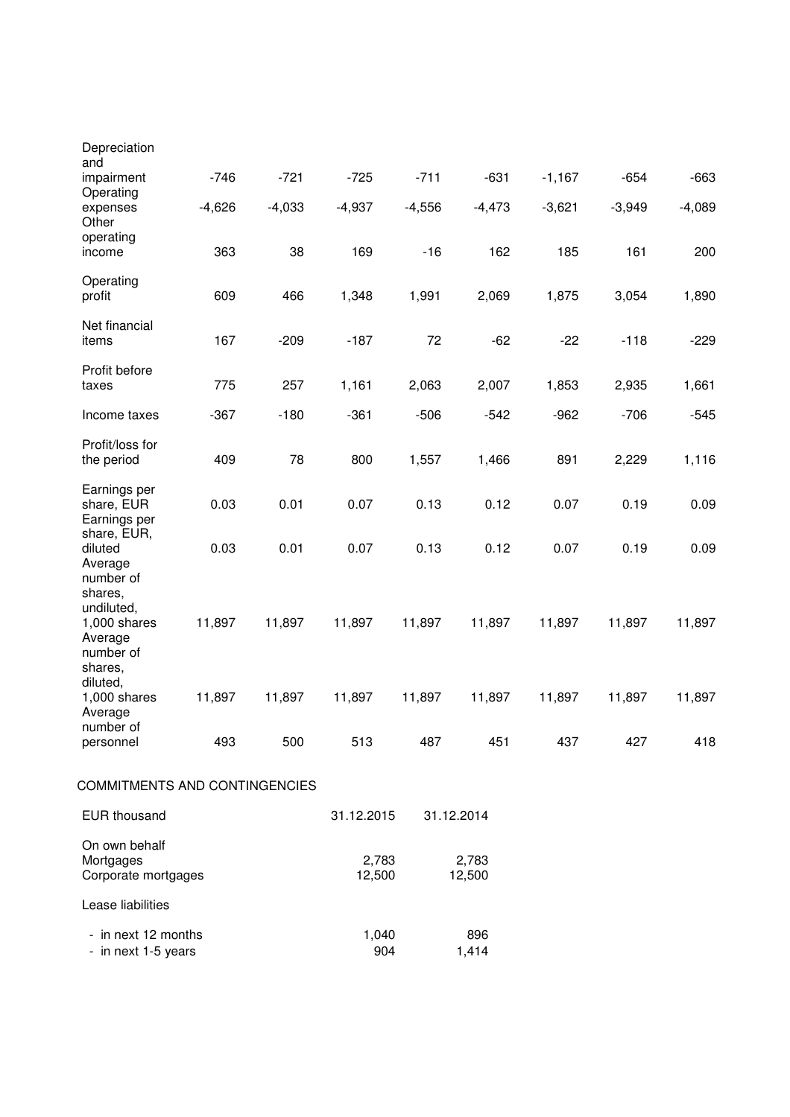| Depreciation<br>and                                                                     |          |          |                 |          |                 |          |          |          |
|-----------------------------------------------------------------------------------------|----------|----------|-----------------|----------|-----------------|----------|----------|----------|
| impairment<br>Operating                                                                 | $-746$   | $-721$   | $-725$          | $-711$   | $-631$          | $-1,167$ | $-654$   | $-663$   |
| expenses<br>Other                                                                       | $-4,626$ | $-4,033$ | $-4,937$        | $-4,556$ | $-4,473$        | $-3,621$ | $-3,949$ | $-4,089$ |
| operating<br>income                                                                     | 363      | 38       | 169             | $-16$    | 162             | 185      | 161      | 200      |
| Operating<br>profit                                                                     | 609      | 466      | 1,348           | 1,991    | 2,069           | 1,875    | 3,054    | 1,890    |
| Net financial<br>items                                                                  | 167      | $-209$   | $-187$          | 72       | $-62$           | $-22$    | $-118$   | $-229$   |
| Profit before<br>taxes                                                                  | 775      | 257      | 1,161           | 2,063    | 2,007           | 1,853    | 2,935    | 1,661    |
| Income taxes                                                                            | $-367$   | $-180$   | $-361$          | $-506$   | $-542$          | $-962$   | $-706$   | $-545$   |
| Profit/loss for<br>the period                                                           | 409      | 78       | 800             | 1,557    | 1,466           | 891      | 2,229    | 1,116    |
| Earnings per<br>share, EUR<br>Earnings per                                              | 0.03     | 0.01     | 0.07            | 0.13     | 0.12            | 0.07     | 0.19     | 0.09     |
| share, EUR,<br>diluted<br>Average                                                       | 0.03     | 0.01     | 0.07            | 0.13     | 0.12            | 0.07     | 0.19     | 0.09     |
| number of<br>shares,<br>undiluted,<br>$1,000$ shares<br>Average<br>number of<br>shares, | 11,897   | 11,897   | 11,897          | 11,897   | 11,897          | 11,897   | 11,897   | 11,897   |
| diluted,<br>$1,000$ shares<br>Average                                                   | 11,897   | 11,897   | 11,897          | 11,897   | 11,897          | 11,897   | 11,897   | 11,897   |
| number of<br>personnel                                                                  | 493      | 500      | 513             | 487      | 451             | 437      | 427      | 418      |
| COMMITMENTS AND CONTINGENCIES                                                           |          |          |                 |          |                 |          |          |          |
| <b>EUR thousand</b>                                                                     |          |          | 31.12.2015      |          | 31.12.2014      |          |          |          |
| On own behalf<br>Mortgages<br>Corporate mortgages                                       |          |          | 2,783<br>12,500 |          | 2,783<br>12,500 |          |          |          |
| Lease liabilities                                                                       |          |          |                 |          |                 |          |          |          |
| - in next 12 months<br>- in next 1-5 years                                              |          |          | 1,040<br>904    |          | 896<br>1,414    |          |          |          |